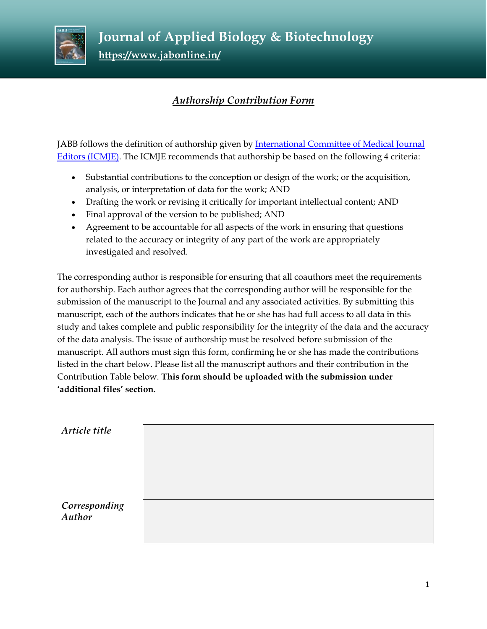

 **Journal of Applied Biology & Biotechnology https://www.jabonline.in/** 

## *Authorship Contribution Form*

JABB follows the definition of authorship given by [International Committee of Medical Journal](http://www.icmje.org/recommendations/browse/roles-and-responsibilities/defining-the-role-of-authors-and-contributors.html)  [Editors \(ICMJE\).](http://www.icmje.org/recommendations/browse/roles-and-responsibilities/defining-the-role-of-authors-and-contributors.html) The ICMJE recommends that authorship be based on the following 4 criteria:

- Substantial contributions to the conception or design of the work; or the acquisition, analysis, or interpretation of data for the work; AND
- Drafting the work or revising it critically for important intellectual content; AND
- Final approval of the version to be published; AND
- Agreement to be accountable for all aspects of the work in ensuring that questions related to the accuracy or integrity of any part of the work are appropriately investigated and resolved.

The corresponding author is responsible for ensuring that all coauthors meet the requirements for authorship. Each author agrees that the corresponding author will be responsible for the submission of the manuscript to the Journal and any associated activities. By submitting this manuscript, each of the authors indicates that he or she has had full access to all data in this study and takes complete and public responsibility for the integrity of the data and the accuracy of the data analysis. The issue of authorship must be resolved before submission of the manuscript. All authors must sign this form, confirming he or she has made the contributions listed in the chart below. Please list all the manuscript authors and their contribution in the Contribution Table below. **This form should be uploaded with the submission under 'additional files' section.**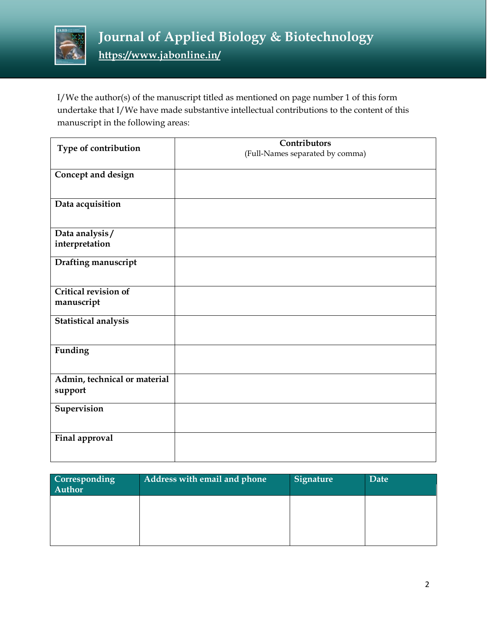

I/We the author(s) of the manuscript titled as mentioned on page number 1 of this form undertake that I/We have made substantive intellectual contributions to the content of this manuscript in the following areas:

| Type of contribution         | Contributors                    |
|------------------------------|---------------------------------|
|                              | (Full-Names separated by comma) |
| Concept and design           |                                 |
|                              |                                 |
| Data acquisition             |                                 |
|                              |                                 |
| Data analysis/               |                                 |
| interpretation               |                                 |
| Drafting manuscript          |                                 |
|                              |                                 |
| <b>Critical revision of</b>  |                                 |
| manuscript                   |                                 |
| Statistical analysis         |                                 |
|                              |                                 |
| Funding                      |                                 |
|                              |                                 |
| Admin, technical or material |                                 |
| support                      |                                 |
| Supervision                  |                                 |
|                              |                                 |
| Final approval               |                                 |
|                              |                                 |

| Corresponding<br>Author | Address with email and phone | <b>Signature</b> | Date |
|-------------------------|------------------------------|------------------|------|
|                         |                              |                  |      |
|                         |                              |                  |      |